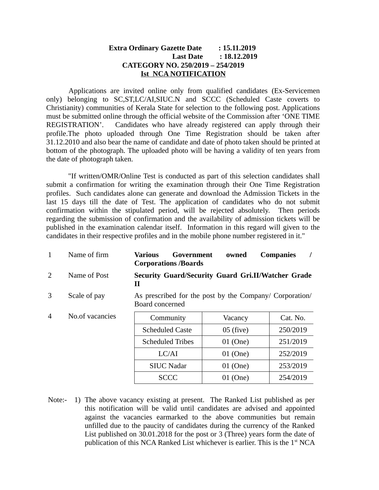## **Extra Ordinary Gazette Date : 15.11.2019 Last Date : 18.12.2019 CATEGORY NO. 250/2019 – 254/2019 Ist NCA NOTIFICATION**

Applications are invited online only from qualified candidates (Ex-Servicemen only) belonging to SC,ST,LC/AI,SIUC.N and SCCC (Scheduled Caste coverts to Christianity) communities of Kerala State for selection to the following post. Applications must be submitted online through the official website of the Commission after 'ONE TIME REGISTRATION'. Candidates who have already registered can apply through their profile.The photo uploaded through One Time Registration should be taken after 31.12.2010 and also bear the name of candidate and date of photo taken should be printed at bottom of the photograph. The uploaded photo will be having a validity of ten years from the date of photograph taken.

"If written/OMR/Online Test is conducted as part of this selection candidates shall submit a confirmation for writing the examination through their One Time Registration profiles. Such candidates alone can generate and download the Admission Tickets in the last 15 days till the date of Test. The application of candidates who do not submit confirmation within the stipulated period, will be rejected absolutely. Then periods regarding the submission of confirmation and the availability of admission tickets will be published in the examination calendar itself. Information in this regard will given to the candidates in their respective profiles and in the mobile phone number registered in it."

| $\mathbf{1}$   | Name of firm    | Various<br>Government<br><b>Corporations /Boards</b>                       | owned       | <b>Companies</b> |
|----------------|-----------------|----------------------------------------------------------------------------|-------------|------------------|
| 2              | Name of Post    | <b>Security Guard/Security Guard Gri.II/Watcher Grade</b><br>Н             |             |                  |
| 3              | Scale of pay    | As prescribed for the post by the Company/ Corporation/<br>Board concerned |             |                  |
| $\overline{4}$ | No.of vacancies | Community                                                                  | Vacancy     | Cat. No.         |
|                |                 | Scheduled Caste                                                            | $05$ (five) | 250/2019         |
|                |                 | <b>Scheduled Tribes</b>                                                    | 01 (One)    | 251/2019         |
|                |                 | LC/AI                                                                      | $01$ (One)  | 252/2019         |
|                |                 | <b>SIUC Nadar</b>                                                          | 01 (One)    | 253/2019         |
|                |                 | SCCC                                                                       | $01$ (One)  | 254/2019         |

Note:- 1) The above vacancy existing at present. The Ranked List published as per this notification will be valid until candidates are advised and appointed against the vacancies earmarked to the above communities but remain unfilled due to the paucity of candidates during the currency of the Ranked List published on 30.01.2018 for the post or 3 (Three) years form the date of publication of this NCA Ranked List whichever is earlier. This is the 1<sup>st</sup> NCA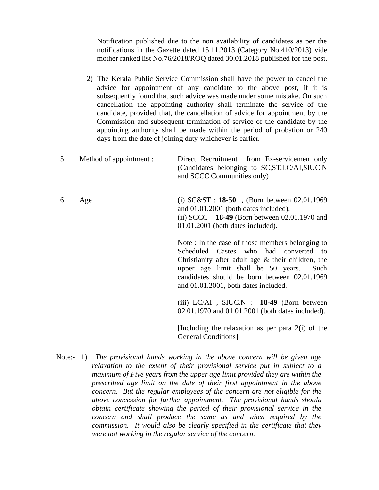Notification published due to the non availability of candidates as per the notifications in the Gazette dated 15.11.2013 (Category No.410/2013) vide mother ranked list No.76/2018/ROQ dated 30.01.2018 published for the post.

- 2) The Kerala Public Service Commission shall have the power to cancel the advice for appointment of any candidate to the above post, if it is subsequently found that such advice was made under some mistake. On such cancellation the appointing authority shall terminate the service of the candidate, provided that, the cancellation of advice for appointment by the Commission and subsequent termination of service of the candidate by the appointing authority shall be made within the period of probation or 240 days from the date of joining duty whichever is earlier.
- 5 Method of appointment : Direct Recruitment from Ex-servicemen only (Candidates belonging to SC,ST,LC/AI,SIUC.N and SCCC Communities only) 6 Age (i) SC&ST : **18-50** , (Born between 02.01.1969 and 01.01.2001 (both dates included). (ii) SCCC – **18-49** (Born between 02.01.1970 and 01.01.2001 (both dates included). Note : In the case of those members belonging to Scheduled Castes who had converted to

Christianity after adult age & their children, the upper age limit shall be 50 years. Such candidates should be born between 02.01.1969 and 01.01.2001, both dates included.

(iii) LC/AI , SIUC.N : **18-49** (Born between 02.01.1970 and 01.01.2001 (both dates included).

[Including the relaxation as per para 2(i) of the General Conditions]

Note:- 1) *The provisional hands working in the above concern will be given age relaxation to the extent of their provisional service put in subject to a maximum of Five years from the upper age limit provided they are within the prescribed age limit on the date of their first appointment in the above concern. But the regular employees of the concern are not eligible for the above concession for further appointment. The provisional hands should obtain certificate showing the period of their provisional service in the concern and shall produce the same as and when required by the commission. It would also be clearly specified in the certificate that they were not working in the regular service of the concern.*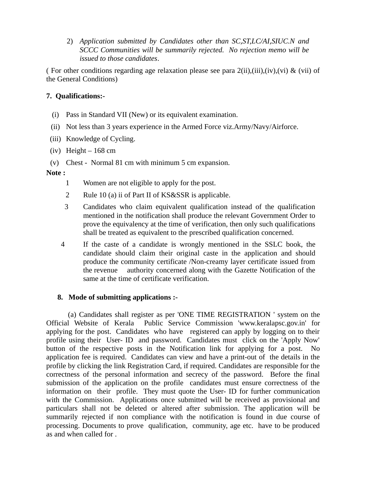2) *Application submitted by Candidates other than SC,ST,LC/AI,SIUC.N and SCCC Communities will be summarily rejected. No rejection memo will be issued to those candidates*.

( For other conditions regarding age relaxation please see para  $2(ii),(ii),(iv),(vi)$  & (vii) of the General Conditions)

# **7. Qualifications:-**

- (i) Pass in Standard VII (New) or its equivalent examination.
- (ii) Not less than 3 years experience in the Armed Force viz.Army/Navy/Airforce.
- (iii) Knowledge of Cycling.
- (iv) Height  $-168$  cm
- (v) Chest Normal 81 cm with minimum 5 cm expansion.

#### **Note :**

- 1 Women are not eligible to apply for the post.
- 2 Rule 10 (a) ii of Part II of KS&SSR is applicable.
- 3 Candidates who claim equivalent qualification instead of the qualification mentioned in the notification shall produce the relevant Government Order to prove the equivalency at the time of verification, then only such qualifications shall be treated as equivalent to the prescribed qualification concerned.
- 4 If the caste of a candidate is wrongly mentioned in the SSLC book, the candidate should claim their original caste in the application and should produce the community certificate /Non-creamy layer certificate issued from the revenue authority concerned along with the Gazette Notification of the same at the time of certificate verification.

#### **8. Mode of submitting applications :-**

 (a) Candidates shall register as per 'ONE TIME REGISTRATION ' system on the Official Website of Kerala Public Service Commission 'www.keralapsc.gov.in' for applying for the post. Candidates who have registered can apply by logging on to their profile using their User- ID and password. Candidates must click on the 'Apply Now' button of the respective posts in the Notification link for applying for a post. No application fee is required. Candidates can view and have a print-out of the details in the profile by clicking the link Registration Card, if required. Candidates are responsible for the correctness of the personal information and secrecy of the password. Before the final submission of the application on the profile candidates must ensure correctness of the information on their profile. They must quote the User- ID for further communication with the Commission. Applications once submitted will be received as provisional and particulars shall not be deleted or altered after submission. The application will be summarily rejected if non compliance with the notification is found in due course of processing. Documents to prove qualification, community, age etc. have to be produced as and when called for .